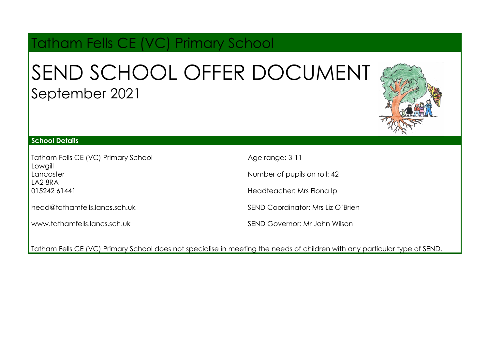# Tatham Fells CE (VC) Primary School

# SEND SCHOOL OFFER DOCUMENT September 2021



#### **School Details**

Tatham Fells CE (VC) Primary School **Lowaill** Lancaster LA2 8RA 015242 61441

[head@tathamfells.lancs.sch.uk](mailto:head@tathamfells.lancs.sch.uk)

[www.tathamfells.lancs.sch.uk](http://www.tathamfells.lancs.sch.uk)

Age range: 3-11

Number of pupils on roll: 42

Headteacher: Mrs Fiona Ip

SEND Coordinator: Mrs Liz O'Brien

SEND Governor: Mr John Wilson

Tatham Fells CE (VC) Primary School does not specialise in meeting the needs of children with any particular type of SEND.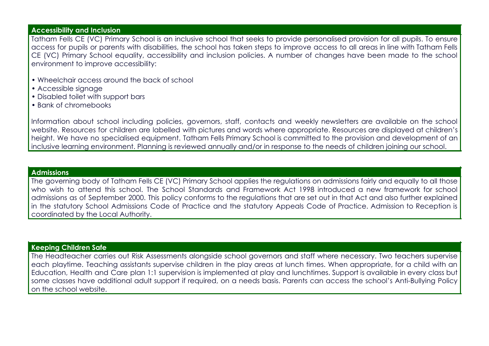#### **Accessibility and Inclusion**

Tatham Fells CE (VC) Primary School is an inclusive school that seeks to provide personalised provision for all pupils. To ensure access for pupils or parents with disabilities, the school has taken steps to improve access to all areas in line with Tatham Fells CE (VC) Primary School equality, accessibility and inclusion policies. A number of changes have been made to the school environment to improve accessibility:

- Wheelchair access around the back of school
- Accessible signage
- Disabled toilet with support bars
- Bank of chromebooks

Information about school including policies, governors, staff, contacts and weekly newsletters are available on the school website. Resources for children are labelled with pictures and words where appropriate. Resources are displayed at children's height. We have no specialised equipment. Tatham Fells Primary School is committed to the provision and development of an inclusive learning environment. Planning is reviewed annually and/or in response to the needs of children joining our school.

#### **Admissions**

The governing body of Tatham Fells CE (VC) Primary School applies the regulations on admissions fairly and equally to all those who wish to attend this school. The School Standards and Framework Act 1998 introduced a new framework for school admissions as of September 2000. This policy conforms to the regulations that are set out in that Act and also further explained in the statutory School Admissions Code of Practice and the statutory Appeals Code of Practice. Admission to Reception is coordinated by the Local Authority.

#### **Keeping Children Safe**

The Headteacher carries out Risk Assessments alongside school governors and staff where necessary. Two teachers supervise each playtime. Teaching assistants supervise children in the play areas at lunch times. When appropriate, for a child with an Education, Health and Care plan 1:1 supervision is implemented at play and lunchtimes. Support is available in every class but some classes have additional adult support if required, on a needs basis. Parents can access the school's Anti-Bullying Policy on the school website.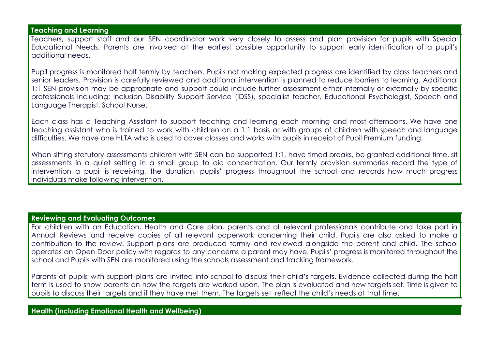#### **Teaching and Learning**

Teachers, support staff and our SEN coordinator work very closely to assess and plan provision for pupils with Special Educational Needs. Parents are involved at the earliest possible opportunity to support early identification of a pupil's additional needs.

Pupil progress is monitored half termly by teachers. Pupils not making expected progress are identified by class teachers and senior leaders. Provision is carefully reviewed and additional intervention is planned to reduce barriers to learning. Additional 1:1 SEN provision may be appropriate and support could include further assessment either internally or externally by specific professionals including; Inclusion Disability Support Service (IDSS), specialist teacher, Educational Psychologist, Speech and Language Therapist, School Nurse.

Each class has a Teaching Assistant to support teaching and learning each morning and most afternoons. We have one teaching assistant who is trained to work with children on a 1:1 basis or with groups of children with speech and language difficulties. We have one HLTA who is used to cover classes and works with pupils in receipt of Pupil Premium funding.

When sitting statutory assessments children with SEN can be supported 1:1, have timed breaks, be granted additional time, sit assessments in a quiet setting in a small group to aid concentration. Our termly provision summaries record the type of intervention a pupil is receiving, the duration, pupils' progress throughout the school and records how much progress individuals make following intervention.

#### **Reviewing and Evaluating Outcomes**

For children with an Education, Health and Care plan, parents and all relevant professionals contribute and take part in Annual Reviews and receive copies of all relevant paperwork concerning their child. Pupils are also asked to make a contribution to the review. Support plans are produced termly and reviewed alongside the parent and child. The school operates an Open Door policy with regards to any concerns a parent may have. Pupils' progress is monitored throughout the school and Pupils with SEN are monitored using the schools assessment and tracking framework.

Parents of pupils with support plans are invited into school to discuss their child's targets. Evidence collected during the half term is used to show parents on how the targets are worked upon. The plan is evaluated and new targets set. Time is given to pupils to discuss their targets and if they have met them. The targets set reflect the child's needs at that time.

### **Health (including Emotional Health and Wellbeing)**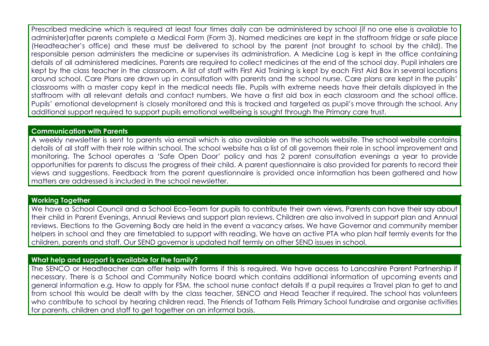Prescribed medicine which is required at least four times daily can be administered by school (if no one else is available to administer)after parents complete a Medical Form (Form 3). Named medicines are kept in the staffroom fridge or safe place (Headteacher's office) and these must be delivered to school by the parent (not brought to school by the child). The responsible person administers the medicine or supervises its administration. A Medicine Log is kept in the office containing details of all administered medicines. Parents are required to collect medicines at the end of the school day. Pupil inhalers are kept by the class teacher in the classroom. A list of staff with First Aid Training is kept by each First Aid Box in several locations around school. Care Plans are drawn up in consultation with parents and the school nurse. Care plans are kept in the pupils' classrooms with a master copy kept in the medical needs file. Pupils with extreme needs have their details displayed in the staffroom with all relevant details and contact numbers. We have a first aid box in each classroom and the school office. Pupils' emotional development is closely monitored and this is tracked and targeted as pupil's move through the school. Any additional support required to support pupils emotional wellbeing is sought through the Primary care trust.

#### **Communication with Parents**

A weekly newsletter is sent to parents via email which is also available on the schools website. The school website contains details of all staff with their role within school. The school website has a list of all governors their role in school improvement and monitoring. The School operates a 'Safe Open Door' policy and has 2 parent consultation evenings a year to provide opportunities for parents to discuss the progress of their child. A parent questionnaire is also provided for parents to record their views and suggestions. Feedback from the parent questionnaire is provided once information has been gathered and how matters are addressed is included in the school newsletter.

#### **Working Together**

We have a School Council and a School Eco-Team for pupils to contribute their own views. Parents can have their say about their child in Parent Evenings, Annual Reviews and support plan reviews. Children are also involved in support plan and Annual reviews. Elections to the Governing Body are held in the event a vacancy arises. We have Governor and community member helpers in school and they are timetabled to support with reading. We have an active PTA who plan half termly events for the children, parents and staff. Our SEND governor is updated half termly on other SEND issues in school.

# **What help and support is available for the family?**

The SENCO or Headteacher can offer help with forms if this is required. We have access to Lancashire Parent Partnership if necessary. There is a School and Community Notice board which contains additional information of upcoming events and general information e.g. How to apply for FSM, the school nurse contact details If a pupil requires a Travel plan to get to and from school this would be dealt with by the class teacher, SENCO and Head Teacher if required. The school has volunteers who contribute to school by hearing children read. The Friends of Tatham Fells Primary School fundraise and organise activities for parents, children and staff to get together on an informal basis.